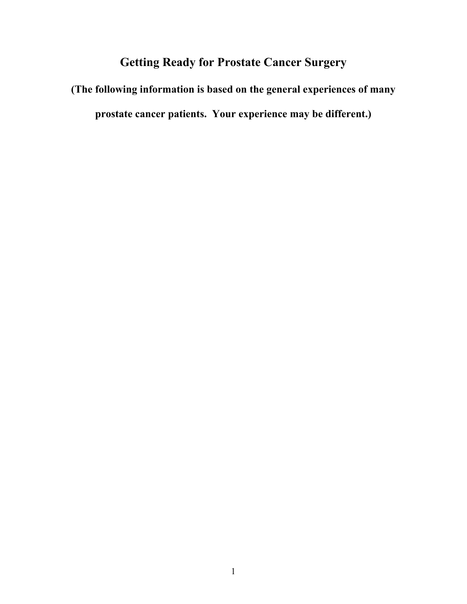# **Getting Ready for Prostate Cancer Surgery**

**(The following information is based on the general experiences of many prostate cancer patients. Your experience may be different.)**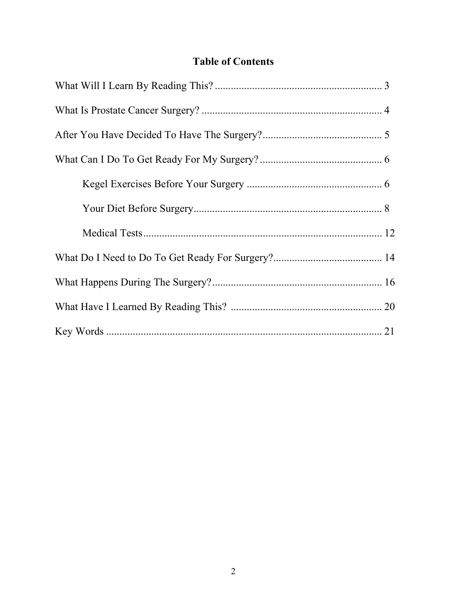# **Table of Contents**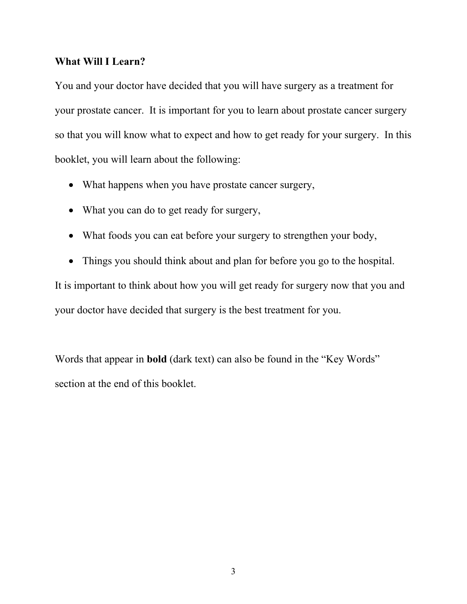#### **What Will I Learn?**

You and your doctor have decided that you will have surgery as a treatment for your prostate cancer. It is important for you to learn about prostate cancer surgery so that you will know what to expect and how to get ready for your surgery. In this booklet, you will learn about the following:

- What happens when you have prostate cancer surgery,
- What you can do to get ready for surgery,
- What foods you can eat before your surgery to strengthen your body,
- Things you should think about and plan for before you go to the hospital.

It is important to think about how you will get ready for surgery now that you and your doctor have decided that surgery is the best treatment for you.

Words that appear in **bold** (dark text) can also be found in the "Key Words" section at the end of this booklet.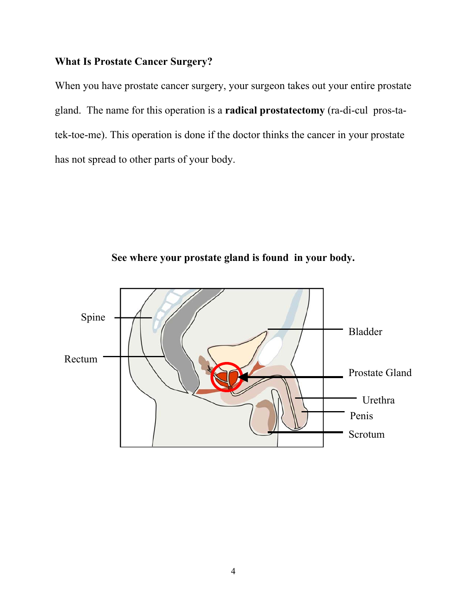#### **What Is Prostate Cancer Surgery?**

When you have prostate cancer surgery, your surgeon takes out your entire prostate gland. The name for this operation is a **radical prostatectomy** (ra-di-cul pros-tatek-toe-me). This operation is done if the doctor thinks the cancer in your prostate has not spread to other parts of your body.



**See where your prostate gland is found in your body.**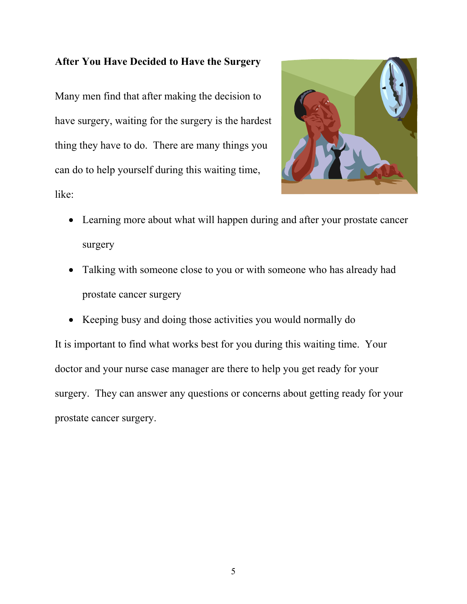#### **After You Have Decided to Have the Surgery**

Many men find that after making the decision to have surgery, waiting for the surgery is the hardest thing they have to do. There are many things you can do to help yourself during this waiting time, like:



- Learning more about what will happen during and after your prostate cancer surgery
- Talking with someone close to you or with someone who has already had prostate cancer surgery
- Keeping busy and doing those activities you would normally do

It is important to find what works best for you during this waiting time. Your doctor and your nurse case manager are there to help you get ready for your surgery. They can answer any questions or concerns about getting ready for your prostate cancer surgery.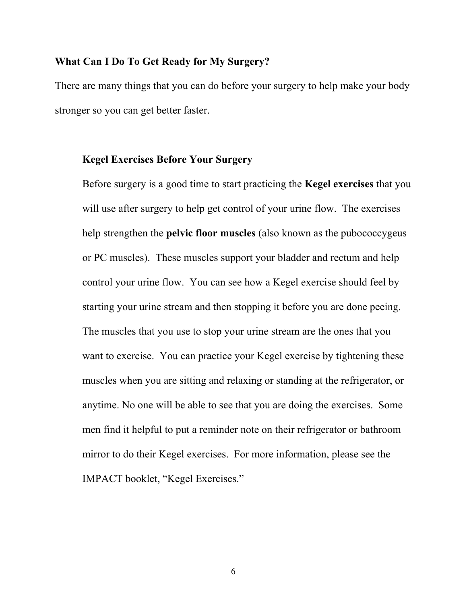#### **What Can I Do To Get Ready for My Surgery?**

There are many things that you can do before your surgery to help make your body stronger so you can get better faster.

#### **Kegel Exercises Before Your Surgery**

Before surgery is a good time to start practicing the **Kegel exercises** that you will use after surgery to help get control of your urine flow. The exercises help strengthen the **pelvic floor muscles** (also known as the pubococcygeus or PC muscles). These muscles support your bladder and rectum and help control your urine flow. You can see how a Kegel exercise should feel by starting your urine stream and then stopping it before you are done peeing. The muscles that you use to stop your urine stream are the ones that you want to exercise. You can practice your Kegel exercise by tightening these muscles when you are sitting and relaxing or standing at the refrigerator, or anytime. No one will be able to see that you are doing the exercises. Some men find it helpful to put a reminder note on their refrigerator or bathroom mirror to do their Kegel exercises. For more information, please see the IMPACT booklet, "Kegel Exercises."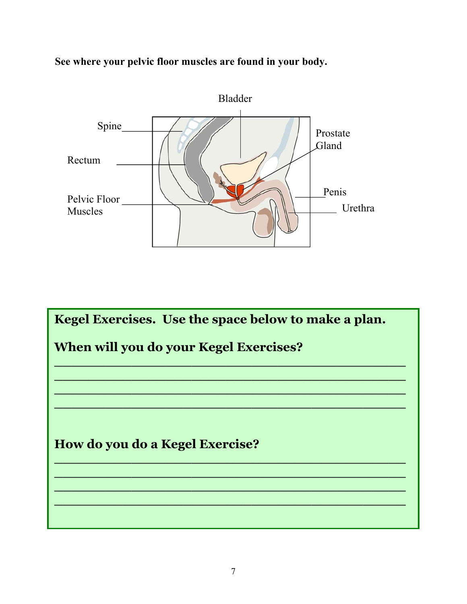**See where your pelvic floor muscles are found in your body.**



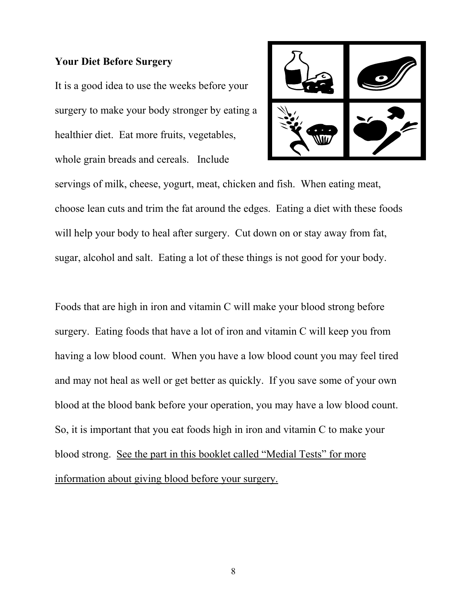#### **Your Diet Before Surgery**

It is a good idea to use the weeks before your surgery to make your body stronger by eating a healthier diet. Eat more fruits, vegetables, whole grain breads and cereals. Include



servings of milk, cheese, yogurt, meat, chicken and fish. When eating meat, choose lean cuts and trim the fat around the edges. Eating a diet with these foods will help your body to heal after surgery. Cut down on or stay away from fat, sugar, alcohol and salt. Eating a lot of these things is not good for your body.

Foods that are high in iron and vitamin C will make your blood strong before surgery. Eating foods that have a lot of iron and vitamin C will keep you from having a low blood count. When you have a low blood count you may feel tired and may not heal as well or get better as quickly. If you save some of your own blood at the blood bank before your operation, you may have a low blood count. So, it is important that you eat foods high in iron and vitamin C to make your blood strong. See the part in this booklet called "Medial Tests" for more information about giving blood before your surgery.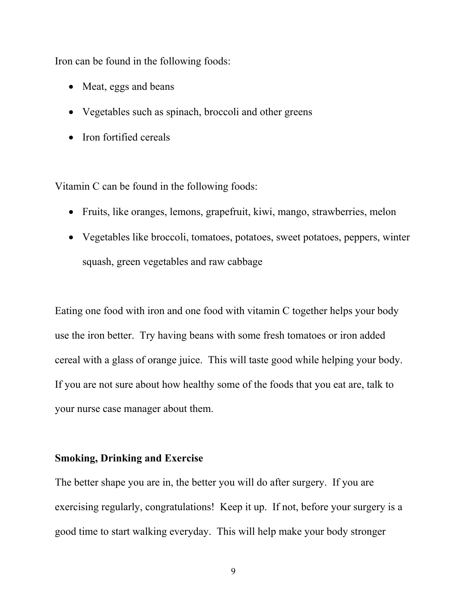Iron can be found in the following foods:

- Meat, eggs and beans
- Vegetables such as spinach, broccoli and other greens
- Iron fortified cereals

Vitamin C can be found in the following foods:

- Fruits, like oranges, lemons, grapefruit, kiwi, mango, strawberries, melon
- Vegetables like broccoli, tomatoes, potatoes, sweet potatoes, peppers, winter squash, green vegetables and raw cabbage

Eating one food with iron and one food with vitamin C together helps your body use the iron better. Try having beans with some fresh tomatoes or iron added cereal with a glass of orange juice. This will taste good while helping your body. If you are not sure about how healthy some of the foods that you eat are, talk to your nurse case manager about them.

### **Smoking, Drinking and Exercise**

The better shape you are in, the better you will do after surgery. If you are exercising regularly, congratulations! Keep it up. If not, before your surgery is a good time to start walking everyday. This will help make your body stronger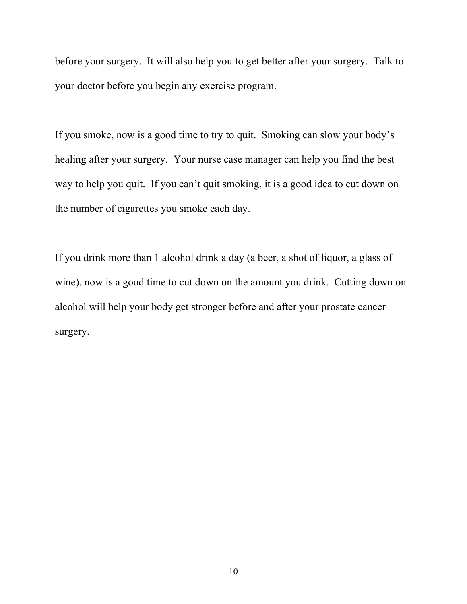before your surgery. It will also help you to get better after your surgery. Talk to your doctor before you begin any exercise program.

If you smoke, now is a good time to try to quit. Smoking can slow your body's healing after your surgery. Your nurse case manager can help you find the best way to help you quit. If you can't quit smoking, it is a good idea to cut down on the number of cigarettes you smoke each day.

If you drink more than 1 alcohol drink a day (a beer, a shot of liquor, a glass of wine), now is a good time to cut down on the amount you drink. Cutting down on alcohol will help your body get stronger before and after your prostate cancer surgery.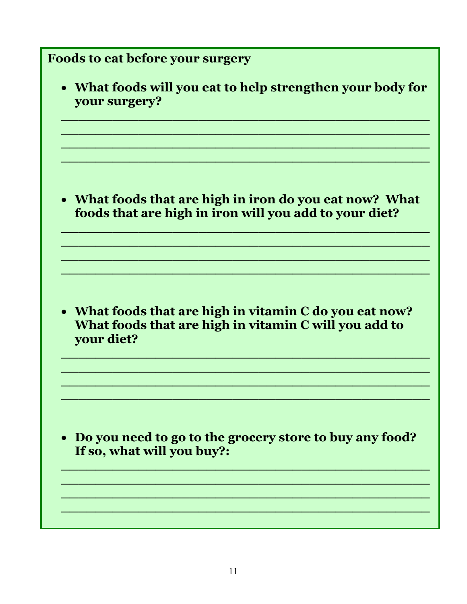| Foods to eat before your surgery                                                                                               |
|--------------------------------------------------------------------------------------------------------------------------------|
| • What foods will you eat to help strengthen your body for<br>your surgery?                                                    |
| • What foods that are high in iron do you eat now? What<br>foods that are high in iron will you add to your diet?              |
| • What foods that are high in vitamin C do you eat now?<br>What foods that are high in vitamin C will you add to<br>your diet? |
| Do you need to go to the grocery store to buy any food?<br>If so, what will you buy?:                                          |
|                                                                                                                                |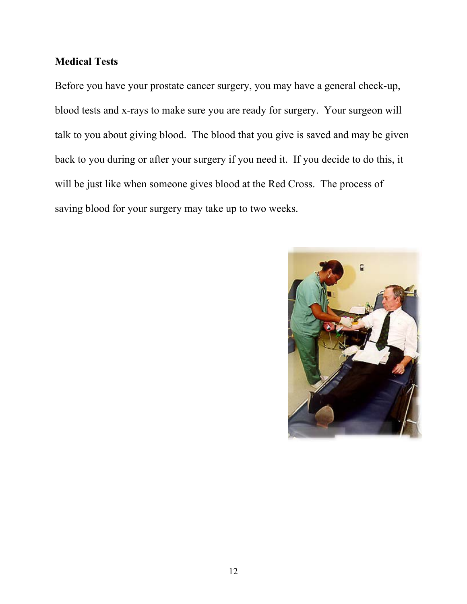## **Medical Tests**

Before you have your prostate cancer surgery, you may have a general check-up, blood tests and x-rays to make sure you are ready for surgery. Your surgeon will talk to you about giving blood. The blood that you give is saved and may be given back to you during or after your surgery if you need it. If you decide to do this, it will be just like when someone gives blood at the Red Cross. The process of saving blood for your surgery may take up to two weeks.

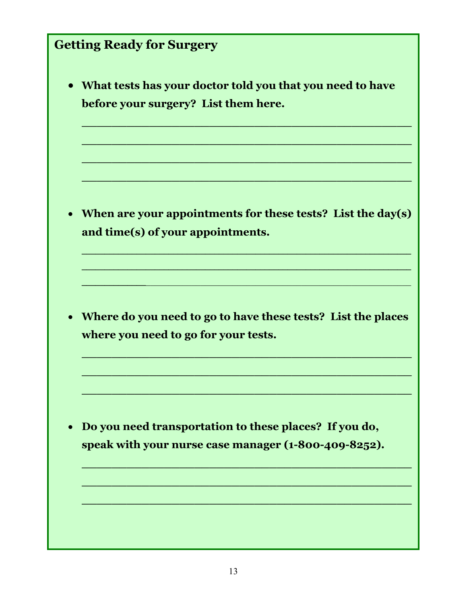# **Getting Ready for Surgery**  • **What tests has your doctor told you that you need to have before your surgery? List them here. \_\_\_\_\_\_\_\_\_\_\_\_\_\_\_\_\_\_\_\_\_\_\_\_\_\_\_\_\_\_\_\_\_\_\_\_\_\_\_\_\_\_\_\_ \_\_\_\_\_\_\_\_\_\_\_\_\_\_\_\_\_\_\_\_\_\_\_\_\_\_\_\_\_\_\_\_\_\_\_\_\_\_\_\_\_\_\_\_ \_\_\_\_\_\_\_\_\_\_\_\_\_\_\_\_\_\_\_\_\_\_\_\_\_\_\_\_\_\_\_\_\_\_\_\_\_\_\_\_\_\_\_\_ \_\_\_\_\_\_\_\_\_\_\_\_\_\_\_\_\_\_\_\_\_\_\_\_\_\_\_\_\_\_\_\_\_\_\_\_\_\_\_\_\_\_\_\_** • **When are your appointments for these tests? List the day(s) and time(s) of your appointments. \_\_\_\_\_\_\_\_\_\_\_\_\_\_\_\_\_\_\_\_\_\_\_\_\_\_\_\_\_\_\_\_\_\_\_\_\_\_\_\_\_\_\_\_\_\_\_\_\_\_\_\_\_\_\_\_\_\_\_\_\_\_\_\_\_\_\_\_\_\_\_\_ \_\_\_\_\_\_\_\_\_\_\_\_\_\_\_\_\_\_\_\_\_\_\_\_\_\_\_\_\_\_\_\_\_\_\_\_\_\_\_\_\_\_\_\_\_\_\_\_\_\_\_\_\_\_\_\_\_\_\_\_\_\_\_\_\_\_\_\_\_\_\_\_ \_\_\_\_\_\_\_\_\_\_\_\_\_\_**\_\_\_\_\_\_\_\_\_\_\_\_\_\_\_\_\_\_\_\_\_\_\_\_\_\_\_\_\_\_\_\_\_\_\_\_\_\_\_\_\_\_\_\_\_\_\_\_\_\_\_\_\_\_\_\_\_\_ • **Where do you need to go to have these tests? List the places where you need to go for your tests. \_\_\_\_\_\_\_\_\_\_\_\_\_\_\_\_\_\_\_\_\_\_\_\_\_\_\_\_\_\_\_\_\_\_\_\_\_\_\_\_\_\_\_\_ \_\_\_\_\_\_\_\_\_\_\_\_\_\_\_\_\_\_\_\_\_\_\_\_\_\_\_\_\_\_\_\_\_\_\_\_\_\_\_\_\_\_\_\_ \_\_\_\_\_\_\_\_\_\_\_\_\_\_\_\_\_\_\_\_\_\_\_\_\_\_\_\_\_\_\_\_\_\_\_\_\_\_\_\_\_\_\_\_** • **Do you need transportation to these places? If you do,**

**speak with your nurse case manager (1-800-409-8252).** 

**\_\_\_\_\_\_\_\_\_\_\_\_\_\_\_\_\_\_\_\_\_\_\_\_\_\_\_\_\_\_\_\_\_\_\_\_\_\_\_\_\_\_\_\_**

**\_\_\_\_\_\_\_\_\_\_\_\_\_\_\_\_\_\_\_\_\_\_\_\_\_\_\_\_\_\_\_\_\_\_\_\_\_\_\_\_\_\_\_\_**

**\_\_\_\_\_\_\_\_\_\_\_\_\_\_\_\_\_\_\_\_\_\_\_\_\_\_\_\_\_\_\_\_\_\_\_\_\_\_\_\_\_\_\_\_**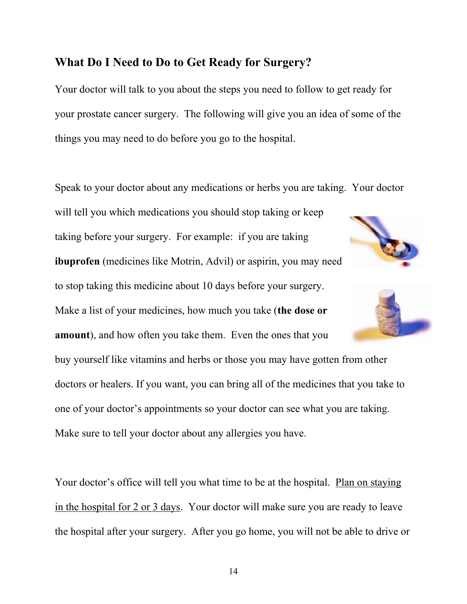# **What Do I Need to Do to Get Ready for Surgery?**

Your doctor will talk to you about the steps you need to follow to get ready for your prostate cancer surgery. The following will give you an idea of some of the things you may need to do before you go to the hospital.

Speak to your doctor about any medications or herbs you are taking. Your doctor will tell you which medications you should stop taking or keep taking before your surgery. For example: if you are taking **ibuprofen** (medicines like Motrin, Advil) or aspirin, you may need to stop taking this medicine about 10 days before your surgery. Make a list of your medicines, how much you take (**the dose or amount**), and how often you take them. Even the ones that you buy yourself like vitamins and herbs or those you may have gotten from other doctors or healers. If you want, you can bring all of the medicines that you take to one of your doctor's appointments so your doctor can see what you are taking. Make sure to tell your doctor about any allergies you have.

Your doctor's office will tell you what time to be at the hospital. Plan on staying in the hospital for 2 or 3 days. Your doctor will make sure you are ready to leave the hospital after your surgery. After you go home, you will not be able to drive or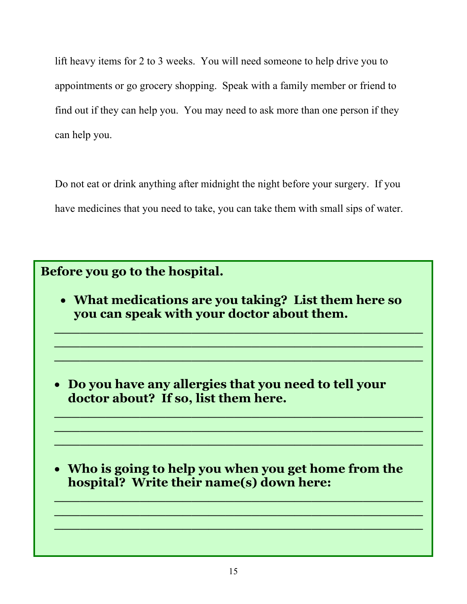lift heavy items for 2 to 3 weeks. You will need someone to help drive you to appointments or go grocery shopping. Speak with a family member or friend to find out if they can help you. You may need to ask more than one person if they can help you.

Do not eat or drink anything after midnight the night before your surgery. If you have medicines that you need to take, you can take them with small sips of water.

# **Before you go to the hospital.**

• **What medications are you taking? List them here so you can speak with your doctor about them.** 

**\_\_\_\_\_\_\_\_\_\_\_\_\_\_\_\_\_\_\_\_\_\_\_\_\_\_\_\_\_\_\_\_\_\_\_\_\_\_\_\_\_\_\_ \_\_\_\_\_\_\_\_\_\_\_\_\_\_\_\_\_\_\_\_\_\_\_\_\_\_\_\_\_\_\_\_\_\_\_\_\_\_\_\_\_\_\_ \_\_\_\_\_\_\_\_\_\_\_\_\_\_\_\_\_\_\_\_\_\_\_\_\_\_\_\_\_\_\_\_\_\_\_\_\_\_\_\_\_\_\_**

**\_\_\_\_\_\_\_\_\_\_\_\_\_\_\_\_\_\_\_\_\_\_\_\_\_\_\_\_\_\_\_\_\_\_\_\_\_\_\_\_\_\_\_ \_\_\_\_\_\_\_\_\_\_\_\_\_\_\_\_\_\_\_\_\_\_\_\_\_\_\_\_\_\_\_\_\_\_\_\_\_\_\_\_\_\_\_ \_\_\_\_\_\_\_\_\_\_\_\_\_\_\_\_\_\_\_\_\_\_\_\_\_\_\_\_\_\_\_\_\_\_\_\_\_\_\_\_\_\_\_**

• **Do you have any allergies that you need to tell your doctor about? If so, list them here.** 

• **Who is going to help you when you get home from the hospital? Write their name(s) down here:** 

**\_\_\_\_\_\_\_\_\_\_\_\_\_\_\_\_\_\_\_\_\_\_\_\_\_\_\_\_\_\_\_\_\_\_\_\_\_\_\_\_\_\_\_ \_\_\_\_\_\_\_\_\_\_\_\_\_\_\_\_\_\_\_\_\_\_\_\_\_\_\_\_\_\_\_\_\_\_\_\_\_\_\_\_\_\_\_ \_\_\_\_\_\_\_\_\_\_\_\_\_\_\_\_\_\_\_\_\_\_\_\_\_\_\_\_\_\_\_\_\_\_\_\_\_\_\_\_\_\_\_**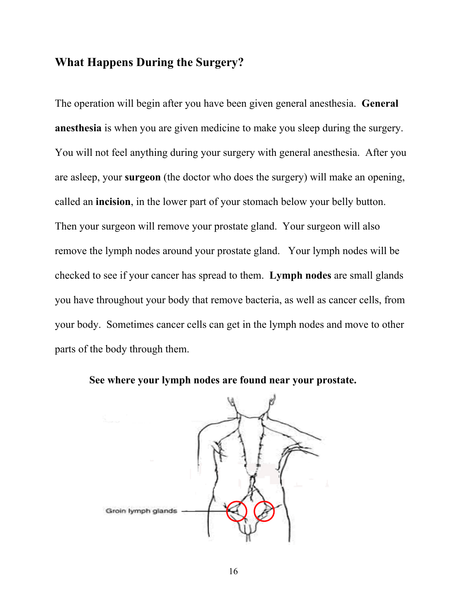## **What Happens During the Surgery?**

The operation will begin after you have been given general anesthesia. **General anesthesia** is when you are given medicine to make you sleep during the surgery. You will not feel anything during your surgery with general anesthesia. After you are asleep, your **surgeon** (the doctor who does the surgery) will make an opening, called an **incision**, in the lower part of your stomach below your belly button. Then your surgeon will remove your prostate gland. Your surgeon will also remove the lymph nodes around your prostate gland. Your lymph nodes will be checked to see if your cancer has spread to them. **Lymph nodes** are small glands you have throughout your body that remove bacteria, as well as cancer cells, from your body. Sometimes cancer cells can get in the lymph nodes and move to other parts of the body through them.



**See where your lymph nodes are found near your prostate.**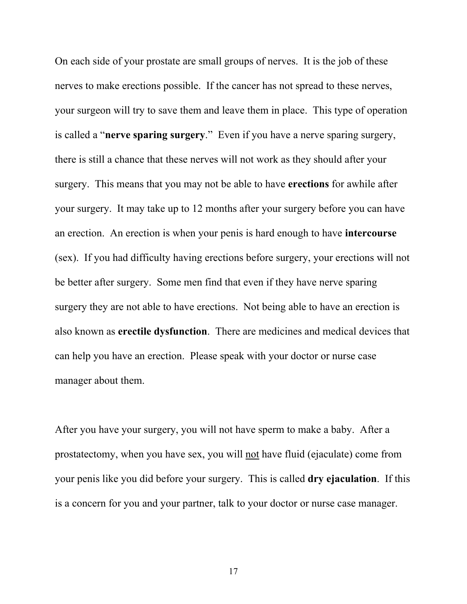On each side of your prostate are small groups of nerves. It is the job of these nerves to make erections possible. If the cancer has not spread to these nerves, your surgeon will try to save them and leave them in place. This type of operation is called a "**nerve sparing surgery**." Even if you have a nerve sparing surgery, there is still a chance that these nerves will not work as they should after your surgery. This means that you may not be able to have **erections** for awhile after your surgery. It may take up to 12 months after your surgery before you can have an erection. An erection is when your penis is hard enough to have **intercourse**  (sex). If you had difficulty having erections before surgery, your erections will not be better after surgery. Some men find that even if they have nerve sparing surgery they are not able to have erections. Not being able to have an erection is also known as **erectile dysfunction**. There are medicines and medical devices that can help you have an erection. Please speak with your doctor or nurse case manager about them.

After you have your surgery, you will not have sperm to make a baby. After a prostatectomy, when you have sex, you will not have fluid (ejaculate) come from your penis like you did before your surgery. This is called **dry ejaculation**. If this is a concern for you and your partner, talk to your doctor or nurse case manager.

17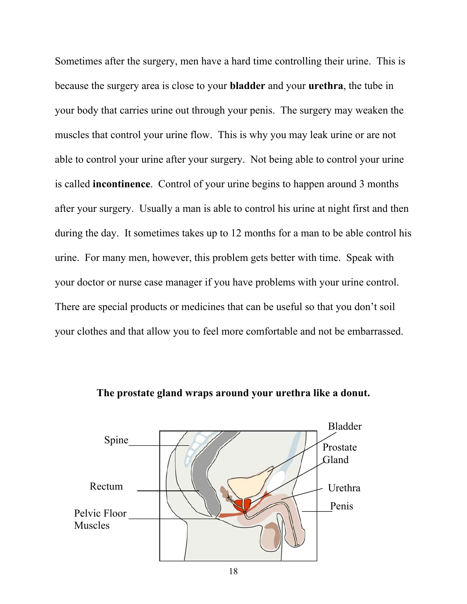Sometimes after the surgery, men have a hard time controlling their urine. This is because the surgery area is close to your **bladder** and your **urethra**, the tube in your body that carries urine out through your penis. The surgery may weaken the muscles that control your urine flow. This is why you may leak urine or are not able to control your urine after your surgery. Not being able to control your urine is called **incontinence**. Control of your urine begins to happen around 3 months after your surgery. Usually a man is able to control his urine at night first and then during the day. It sometimes takes up to 12 months for a man to be able control his urine. For many men, however, this problem gets better with time. Speak with your doctor or nurse case manager if you have problems with your urine control. There are special products or medicines that can be useful so that you don't soil your clothes and that allow you to feel more comfortable and not be embarrassed.



**The prostate gland wraps around your urethra like a donut.**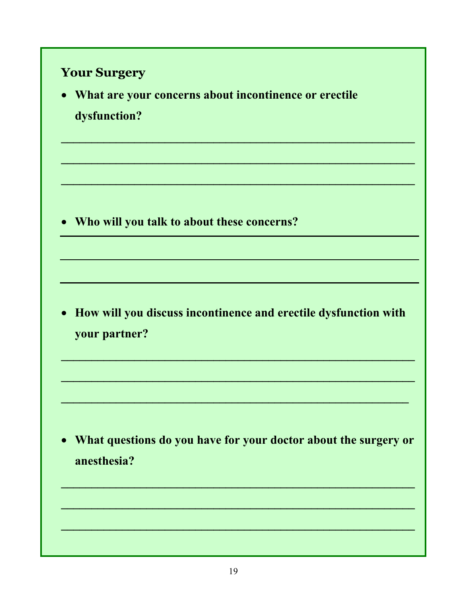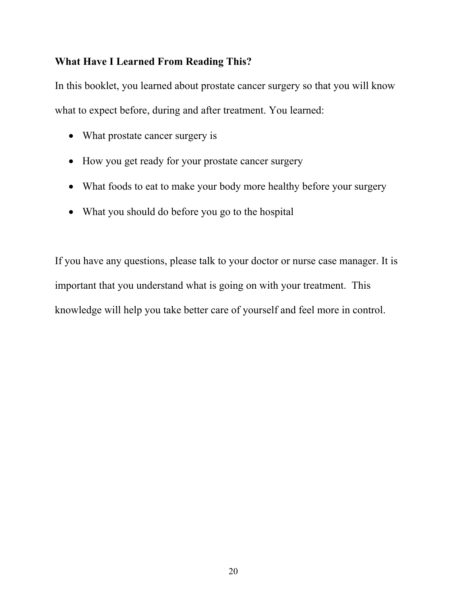#### **What Have I Learned From Reading This?**

In this booklet, you learned about prostate cancer surgery so that you will know what to expect before, during and after treatment. You learned:

- What prostate cancer surgery is
- How you get ready for your prostate cancer surgery
- What foods to eat to make your body more healthy before your surgery
- What you should do before you go to the hospital

If you have any questions, please talk to your doctor or nurse case manager. It is important that you understand what is going on with your treatment. This knowledge will help you take better care of yourself and feel more in control.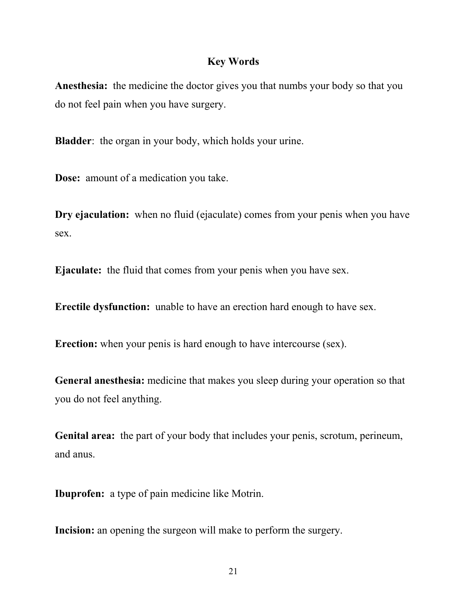#### **Key Words**

**Anesthesia:** the medicine the doctor gives you that numbs your body so that you do not feel pain when you have surgery.

**Bladder**: the organ in your body, which holds your urine.

**Dose:** amount of a medication you take.

**Dry ejaculation:** when no fluid (ejaculate) comes from your penis when you have sex.

**Ejaculate:** the fluid that comes from your penis when you have sex.

**Erectile dysfunction:** unable to have an erection hard enough to have sex.

**Erection:** when your penis is hard enough to have intercourse (sex).

General anesthesia: medicine that makes you sleep during your operation so that you do not feel anything.

**Genital area:** the part of your body that includes your penis, scrotum, perineum, and anus.

**Ibuprofen:** a type of pain medicine like Motrin.

**Incision:** an opening the surgeon will make to perform the surgery.